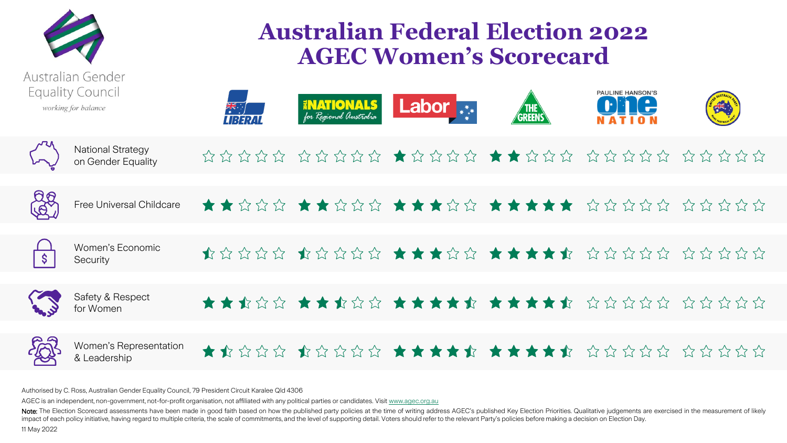

## **Australian Federal Election 2022 AGEC Women's Scorecard**

| <b>Equality Council</b><br>working for balance |                                                | $\frac{1}{\sqrt{2}}$<br>UBERA | <b>ENATIONALS</b><br>for Regional Australia | Labor <sub>***</sub>                                                                                                                                                                                                               | THE<br>GREENS | <b>PAULINE HANSON'S</b><br>ne |  |
|------------------------------------------------|------------------------------------------------|-------------------------------|---------------------------------------------|------------------------------------------------------------------------------------------------------------------------------------------------------------------------------------------------------------------------------------|---------------|-------------------------------|--|
|                                                | <b>National Strategy</b><br>on Gender Equality |                               |                                             | $\alpha \alpha \alpha \alpha \alpha$ $\alpha \alpha \alpha \alpha$ $\alpha \alpha \alpha$ $\alpha \alpha$ $\alpha \alpha$ $\alpha \alpha$ $\alpha$ $\alpha \alpha$ $\alpha \alpha$ $\alpha$ $\alpha$ $\alpha$ $\alpha$             |               |                               |  |
| <b>RR</b>                                      | Free Universal Childcare                       |                               |                                             |                                                                                                                                                                                                                                    |               |                               |  |
| $\sqrt{5}$                                     | Women's Economic<br>Security                   |                               |                                             | $\bullet$ the control to the control to the control to the control to the control to the control to the control to the control to the control to the control to the control to the control to the control to the control to the co |               |                               |  |
| <b>CONTROL</b>                                 | Safety & Respect<br>for Women                  |                               |                                             |                                                                                                                                                                                                                                    |               |                               |  |
| <b>FOR</b>                                     | Women's Representation<br>& Leadership         |                               |                                             |                                                                                                                                                                                                                                    |               |                               |  |

Authorised by C. Ross, Australian Gender Equality Council, 79 President Circuit Karalee Qld 4306

AGEC is an independent, non-government, not-for-profit organisation, not affiliated with any political parties or candidates. Visit [www.agec.org.au](http://www.agec.org.au/)

Note: The Election Scorecard assessments have been made in good faith based on how the published party policies at the time of writing address AGEC's published Key Election Priorities. Qualitative judgements are exercised impact of each policy initiative, having regard to multiple criteria, the scale of commitments, and the level of supporting detail. Voters should refer to the relevant Party's policies before making a decision on Election 11 May 2022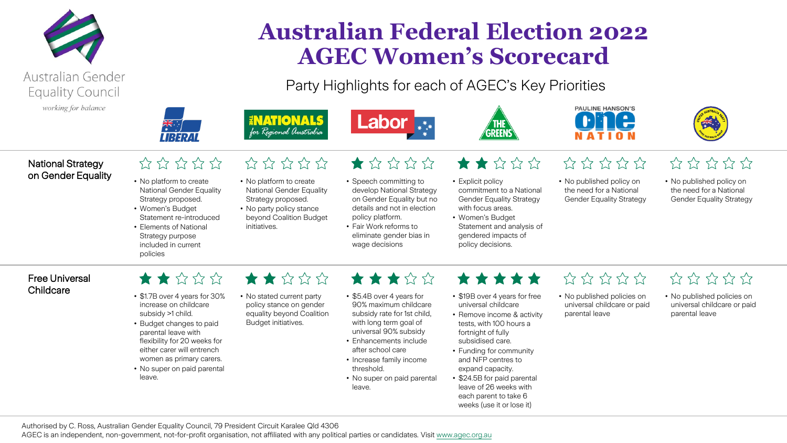



# **Australian Federal Election 2022 AGEC Women's Scorecard**

Party Highlights for each of AGEC's Key Priorities





• Explicit policy



 $\frac{1}{2} \frac{1}{2} \frac{1}{2} \frac{1}{2} \frac{1}{2} \frac{1}{2} \frac{1}{2} \frac{1}{2}$ 



#### National Strategy on Gender Equality

### $\hat{\omega} \hat{\omega} \hat{\omega} \hat{\omega}$

- No platform to create National Gender Equality Strategy proposed. • Women's Budget
- Statement re-introduced • Elements of National Strategy purpose
- No platform to create National Gender Equality Strategy proposed.

 $\frac{1}{2} \frac{1}{2} \frac{1}{2} \frac{1}{2} \frac{1}{2} \frac{1}{2} \frac{1}{2} \frac{1}{2} \frac{1}{2} \frac{1}{2}$ 

ENATIONALS

for Regional Anstralia

- No party policy stance beyond Coalition Budget initiatives.
- $\blacktriangleright$
- Speech committing to develop National Strategy on Gender Equality but no details and not in election policy platform.
- Fair Work reforms to eliminate gender bias in wage decisions
- $\blacktriangleright$ 
	- No published policy on the need for a National Gender Equality Strategy
- $\frac{1}{2} \frac{1}{2} \frac{1}{2} \frac{1}{2} \frac{1}{2} \frac{1}{2} \frac{1}{2} \frac{1}{2} \frac{1}{2}$
- No published policy on the need for a National Gender Equality Strategy

#### Free Universal Childcare

## $\star \star \sim \sim \sim$

included in current

policies

- \$1.7B over 4 years for 30% increase on childcare subsidy >1 child.
- Budget changes to paid parental leave with flexibility for 20 weeks for either carer will entrench women as primary carers.
- No super on paid parental leave.
- No stated current party policy stance on gender equality beyond Coalition Budget initiatives.

 $\blacktriangleright$ 

- 
- \$5.4B over 4 years for 90% maximum childcare
	- subsidy rate for 1st child, with long term goal of universal 90% subsidy

\*\*\*\*\*

- Enhancements include after school care
- Increase family income threshold.
- No super on paid parental leave.

\*\*\*\*\*

commitment to a National Gender Equality Strategy with focus areas. • Women's Budget

Statement and analysis of gendered impacts of policy decisions.

- \$19B over 4 years for free universal childcare
- Remove income & activity tests, with 100 hours a fortnight of fully subsidised care.
- Funding for community and NFP centres to expand capacity.
- \$24.5B for paid parental leave of 26 weeks with each parent to take 6 weeks (use it or lose it)

## $\frac{1}{22}$   $\frac{1}{22}$   $\frac{1}{22}$   $\frac{1}{22}$

- No published policies on universal childcare or paid parental leave
- $\frac{1}{2} \frac{1}{2} \frac{1}{2} \frac{1}{2} \frac{1}{2} \frac{1}{2} \frac{1}{2} \frac{1}{2} \frac{1}{2} \frac{1}{2} \frac{1}{2}$
- No published policies on universal childcare or paid parental leave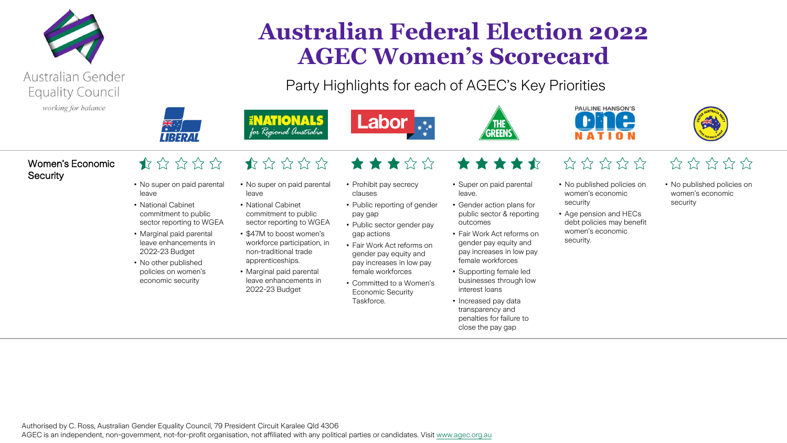



# **Australian Federal Election 2022 AGEC Women's Scorecard**

Party Highlights for each of AGEC's Key Priorities







#### Women's Economic **Security**

#### $\bigoplus_{i=1}^n \sum_{i=1}^n \sum_{i=1}^n \sum_{i=1}^n \sum_{i=1}^n \sum_{i=1}^n$

- No super on paid parental leave
- National Cabinet commitment to public sector reporting to WGEA
- Marginal paid parental leave enhancements in 2022-23 Budget
- No other published policies on women's economic security

 $\frac{1}{2} \sum_{i=1}^{n} \sum_{j=1}^{n} \sum_{j=1}^{n} \sum_{j=1}^{n} \sum_{j=1}^{n}$ • No super on paid parental

ENATIONALS

for Regional Anstralia

- leave • National Cabinet commitment to public sector reporting to WGEA
- \$47M to boost women's workforce participation, in
- non-traditional trade apprenticeships. • Marginal paid parental
- leave enhancements in 2022-23 Budget

★★★☆☆ • Prohibit pay secrecy

• Public sector gender pay

• Fair Work Act reforms on gender pay equity and pay increases in low pay female workforces • Committed to a Women's Economic Security

clauses

pay gap

gap actions

**Taskforce** 

- Public reporting of gender • Super on paid parental leave.
	- Gender action plans for public sector & reporting outcomes

\*\*\*\*

- Fair Work Act reforms on gender pay equity and pay increases in low pay female workforces
- Supporting female led businesses through low interest loans
- Increased pay data transparency and penalties for failure to close the pay gap

## $\frac{1}{2} \frac{1}{2} \frac{1}{2} \frac{1}{2} \frac{1}{2} \frac{1}{2} \frac{1}{2} \frac{1}{2} \frac{1}{2} \frac{1}{2} \frac{1}{2}$

- No published policies on women's economic security
- Age pension and HECs debt policies may benefit women's economic security.

## $525222$

- No published policies on women's economic security
-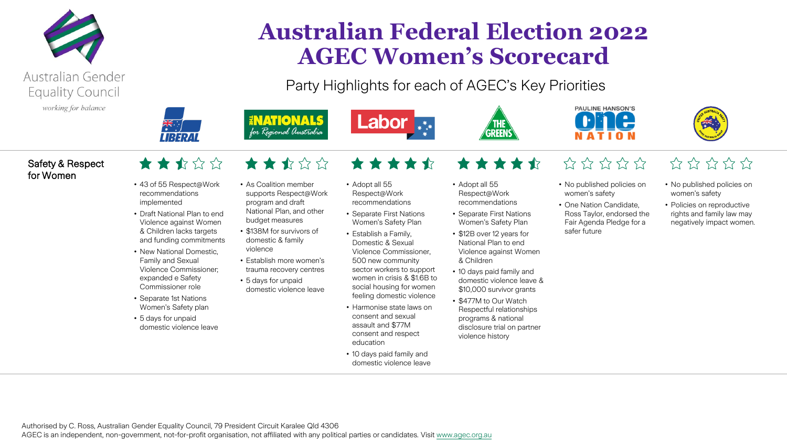

 $\frac{1}{\sqrt{2}}$ 

# **Australian Federal Election 2022 AGEC Women's Scorecard**

Party Highlights for each of AGEC's Key Priorities

• Adopt all 55 Respect@Work

& Children

violence history

• \$12B over 12 years for National Plan to end Violence against Women

**REEN** 

• 10 days paid family and domestic violence leave & \$10,000 survivor grants • \$477M to Our Watch Respectful relationships programs & national disclosure trial on partner





#### Safety & Respect for Women

- ★★★☆☆
- 43 of 55 Respect@Work recommendations implemented
- Draft National Plan to end Violence against Women & Children lacks targets and funding commitments
- New National Domestic, Family and Sexual Violence Commissioner; expanded e Safety
- Commissioner role • Separate 1st Nations Women's Safety plan
- 5 days for unpaid domestic violence leave

### $\star \star \star \star \star$

• As Coalition member supports Respect@Work program and draft National Plan, and other

**ENATIONALS** 

for Regional Anstralia

- budget measures • \$138M for survivors of domestic & family
- violence • Establish more women's
- 5 days for unpaid
- 
- trauma recovery centres
- domestic violence leave
	-

• Adopt all 55 Respect@Work recommendations

Labor<sub>\*\*\*</sub>

\*\*\*\*\*

- Separate First Nations recommendations • Separate First Nations Women's Safety Plan
- Women's Safety Plan • Establish a Family, Domestic & Sexual Violence Commissioner, 500 new community sector workers to support women in crisis & \$1.6B to social housing for women feeling domestic violence
- Harmonise state laws on consent and sexual assault and \$77M consent and respect education
- 10 days paid family and domestic violence leave

\*\*\*\*  $\frac{1}{2} \frac{1}{2} \frac{1}{2} \frac{1}{2} \frac{1}{2} \frac{1}{2} \frac{1}{2} \frac{1}{2} \frac{1}{2} \frac{1}{2} \frac{1}{2}$ 

#### • No published policies on women's safety

- One Nation Candidate, Ross Taylor, endorsed the Fair Agenda Pledge for a safer future
- $\frac{1}{2} \frac{1}{2} \frac{1}{2} \frac{1}{2} \frac{1}{2} \frac{1}{2} \frac{1}{2} \frac{1}{2} \frac{1}{2} \frac{1}{2}$
- No published policies on women's safety
- Policies on reproductive rights and family law may negatively impact women.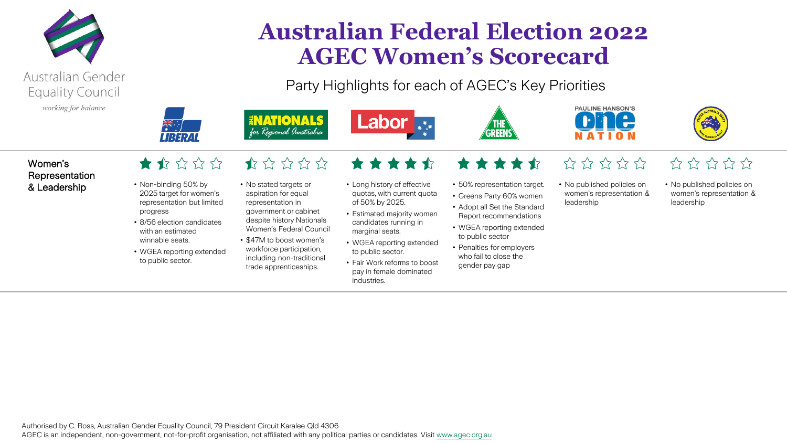

**Australian Federal Election 2022 AGEC Women's Scorecard**

Party Highlights for each of AGEC's Key Priorities





### Women's Representation

### $\blacktriangle$

 $\frac{1}{\sqrt{2}}$ 

- & Leadership Non-binding 50% by 2025 target for women's representation but limited progress
	- 8/56 election candidates with an estimated winnable seats.
	- WGEA reporting extended to public sector.

## $\frac{1}{2}$

• No stated targets or aspiration for equal representation in government or cabinet despite history Nationals

**INATIONALS** 

for Regional Anstralia

- \$47M to boost women's workforce participation,
- 
- Women's Federal Council
- including non-traditional trade apprenticeships.
- Long history of effective quotas, with current quota of 50% by 2025.

\*\*\*\*\*

Labor<sub>\*\*\*</sub>

- Estimated majority women candidates running in marginal seats.
- WGEA reporting extended to public sector.
- Fair Work reforms to boost pay in female dominated industries.
- \*\*\*\*
- 50% representation target.
- Greens Party 60% women
- Adopt all Set the Standard Report recommendations
- WGEA reporting extended to public sector
- Penalties for employers who fail to close the gender pay gap

## $\frac{1}{2} \frac{1}{2} \frac{1}{2} \frac{1}{2} \frac{1}{2} \frac{1}{2} \frac{1}{2} \frac{1}{2} \frac{1}{2} \frac{1}{2} \frac{1}{2}$

• No published policies on women's representation & leadership

## $525222$

• No published policies on women's representation & leadership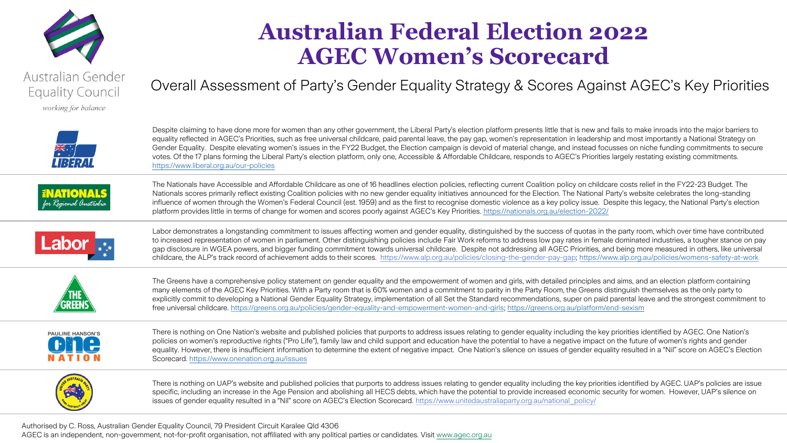

working for balance

# **Australian Federal Election 2022 AGEC Women's Scorecard**

Overall Assessment of Party's Gender Equality Strategy & Scores Against AGEC's Key Priorities



Despite claiming to have done more for women than any other government, the Liberal Party's election platform presents little that is new and fails to make inroads into the major barriers to equality reflected in AGEC's Priorities, such as free universal childcare, paid parental leave, the pay gap, women's representation in leadership and most importantly a National Strategy on Gender Equality. Despite elevating women's issues in the FY22 Budget, the Election campaign is devoid of material change, and instead focusses on niche funding commitments to secure votes. Of the 17 plans forming the Liberal Party's election platform, only one, Accessible & Affordable Childcare, responds to AGEC's Priorities largely restating existing commitments. <https://www.liberal.org.au/our-policies>



The Nationals have Accessible and Affordable Childcare as one of 16 headlines election policies, reflecting current Coalition policy on childcare costs relief in the FY22-23 Budget. The Nationals scores primarily reflect existing Coalition policies with no new gender equality initiatives announced for the Election. The National Party's website celebrates the long-standing influence of women through the Women's Federal Council (est. 1959) and as the first to recognise domestic violence as a key policy issue. Despite this legacy, the National Party's election platform provides little in terms of change for women and scores poorly against AGEC's Key Priorities. <https://nationals.org.au/election-2022/>



Labor demonstrates a longstanding commitment to issues affecting women and gender equality, distinguished by the success of quotas in the party room, which over time have contributed to increased representation of women in parliament. Other distinguishing policies include Fair Work reforms to address low pay rates in female dominated industries, a tougher stance on pay gap disclosure in WGEA powers, and bigger funding commitment towards universal childcare. Despite not addressing all AGEC Priorities, and being more measured in others, like universal childcare, the ALP's track record of achievement adds to their scores. <https://www.alp.org.au/policies/closing-the-gender-pay-gap>; <https://www.alp.org.au/policies/womens-safety-at-work>



The Greens have a comprehensive policy statement on gender equality and the empowerment of women and girls, with detailed principles and aims, and an election platform containing many elements of the AGEC Key Priorities. With a Party room that is 60% women and a commitment to parity in the Party Room, the Greens distinguish themselves as the only party to explicitly commit to developing a National Gender Equality Strategy, implementation of all Set the Standard recommendations, super on paid parental leave and the strongest commitment to free universal childcare. [https://greens.org.au/policies/gender-equality-and-empowerment-women-and-girls;](https://greens.org.au/policies/gender-equality-and-empowerment-women-and-girls) <https://greens.org.au/platform/end-sexism>



There is nothing on One Nation's website and published policies that purports to address issues relating to gender equality including the key priorities identified by AGEC. One Nation's policies on women's reproductive rights ("Pro Life"), family law and child support and education have the potential to have a negative impact on the future of women's rights and gender equality. However, there is insufficient information to determine the extent of negative impact. One Nation's silence on issues of gender equality resulted in a "Nil" score on AGEC's Election Scorecard. <https://www.onenation.org.au/issues>



There is nothing on UAP's website and published policies that purports to address issues relating to gender equality including the key priorities identified by AGEC. UAP's policies are issue specific, including an increase in the Age Pension and abolishing all HECS debts, which have the potential to provide increased economic security for women. However, UAP's silence on issues of gender equality resulted in a "Nil" score on AGEC's Election Scorecard. [https://www.unitedaustraliaparty.org.au/national\\_policy/](https://www.unitedaustraliaparty.org.au/national_policy/)